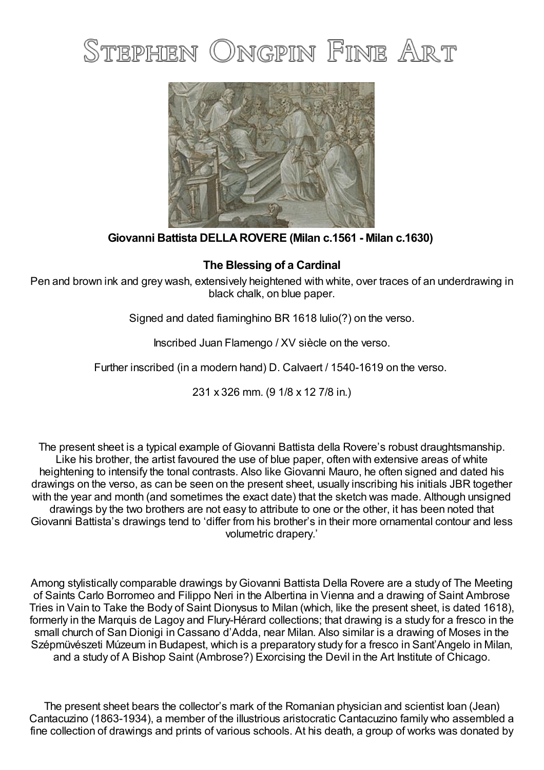## STEPHEN ONGPIN FINE ART



## **Giovanni Battista DELLAROVERE (Milan c.1561 - Milan c.1630)**

## **The Blessing of a Cardinal**

Pen and brown ink and grey wash, extensively heightened with white, over traces of an underdrawing in black chalk, on blue paper.

Signed and dated fiaminghino BR 1618 lulio(?) on the verso.

Inscribed Juan Flamengo / XV siècle on the verso.

Further inscribed (in a modern hand) D. Calvaert / 1540-1619 on the verso.

231 x 326 mm. (9 1/8 x 12 7/8 in.)

The present sheet is a typical example of Giovanni Battista della Rovere's robust draughtsmanship. Like his brother, the artist favoured the use of blue paper, often with extensive areas of white heightening to intensify the tonal contrasts. Also like Giovanni Mauro, he often signed and dated his drawings on the verso, as can be seen on the present sheet, usually inscribing his initials JBR together with the year and month (and sometimes the exact date) that the sketch was made. Although unsigned drawings by the two brothers are not easy to attribute to one or the other, it has been noted that Giovanni Battista's drawings tend to 'differ from his brother's in their more ornamental contour and less volumetric drapery.'

Among stylistically comparable drawings byGiovanni Battista Della Rovere are a study of The Meeting of Saints Carlo Borromeo and Filippo Neri in the Albertina in Vienna and a drawing of Saint Ambrose Tries in Vain to Take the Body of Saint Dionysus to Milan (which, like the present sheet, is dated 1618), formerly in the Marquis de Lagoy and Flury-Hérard collections; that drawing is a study for a fresco in the small church of San Dionigi in Cassano d'Adda, near Milan. Also similar is a drawing of Moses in the Szépmüvészeti Múzeum in Budapest, which is a preparatory study for a fresco in Sant'Angelo in Milan, and a study of A Bishop Saint (Ambrose?) Exorcising the Devil in the Art Institute of Chicago.

The present sheet bears the collector's mark of the Romanian physician and scientist loan (Jean) Cantacuzino (1863-1934), a member of the illustrious aristocratic Cantacuzino family who assembled a fine collection of drawings and prints of various schools. At his death, a group of works was donated by